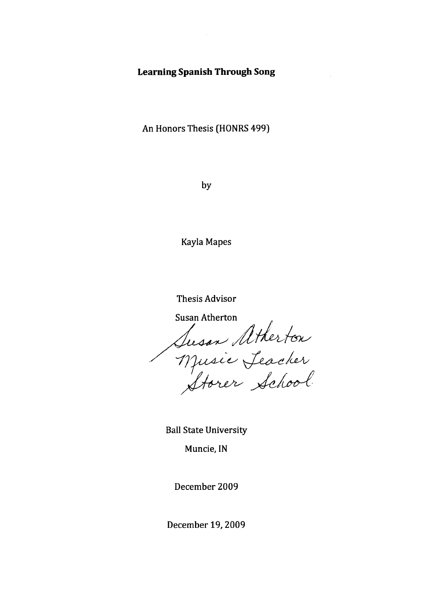### **Learning Spanish Through Song**

An Honors Thesis (HONRS 499)

by

Kayla Mapes

Thesis Advisor

**Susan Atherton** 

Susan Atherton<br>Music Jeacher<br>Storer School

Ball State University

Muncie, **IN** 

December 2009

December 19, 2009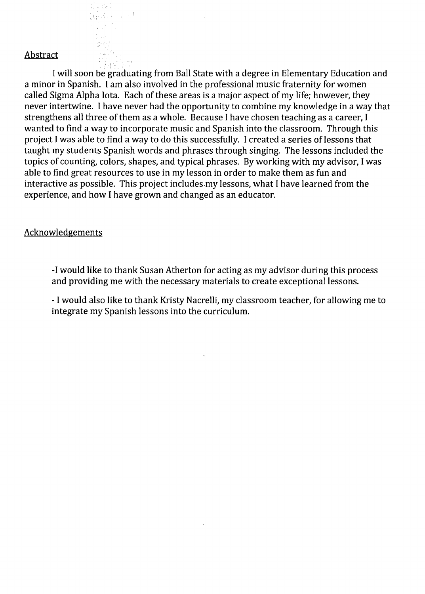#### Abstract

 $\zeta \in \mathcal{C}$ o (f

 $\rightarrow$   $\rightarrow$   $\rightarrow$   $\rightarrow$ 

alian a sh  $\frac{2}{4}$  , and  $\frac{2}{4}$ 

I will soon be graduating from Ball State with a degree in Elementary Education and a minor in Spanish. I am also involved in the professional music fraternity for women called Sigma Alpha Iota. Each of these areas is a major aspect of my life; however, they never intertwine. I have never had the opportunity to combine my knowledge in a way that strengthens all three of them as a whole. Because I have chosen teaching as a career, I wanted to find a way to incorporate music and Spanish into the classroom. Through this project I was able to find a way to do this successfully. I created a series of lessons that taught my students Spanish words and phrases through singing. The lessons included the topics of counting, colors, shapes, and typical phrases. By working with my advisor, I was able to find great resources to use in my lesson in order to make them as fun and interactive as possible. This project includes.my lessons, what I have learned from the experience, and how I have grown and changed as an educator.

#### Acknowledgements

-I would like to thank Susan Atherton for acting as my advisor during this process and providing me with the necessary materials to create exceptional lessons.

- I would also like to thank Kristy Nacrelli, my classroom teacher, for allowing me to integrate my Spanish lessons into the curriculum.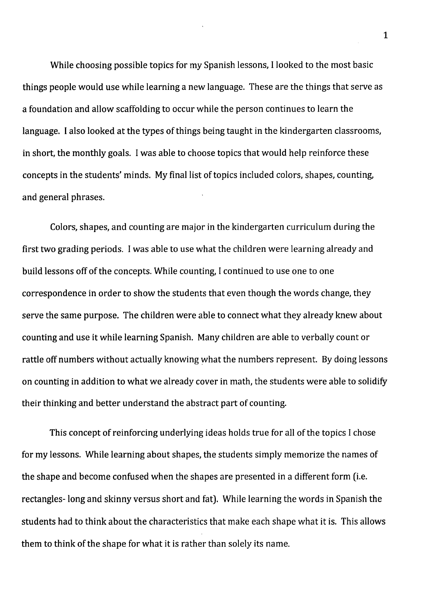While choosing possible topics for my Spanish lessons, I looked to the most basic things people would use while learning a new language. These are the things that serve as a foundation and allow scaffolding to occur while the person continues to learn the language. I also looked at the types of things being taught in the kindergarten classrooms, in short, the monthly goals. I was able to choose topics that would help reinforce these concepts in the students' minds. My final list of topics included colors, shapes, counting, and general phrases.

Colors, shapes, and counting are major in the kindergarten curriculum during the first two grading periods. I was able to use what the children were learning already and build lessons off of the concepts. While counting, I continued to use one to one correspondence in order to show the students that even though the words change, they serve the same purpose. The children were able to connect what they already knew about counting and use it while learning Spanish. Many children are able to verbally count or rattle off numbers without actually knowing what the numbers represent. By doing lessons on counting in addition to what we already cover in math, the students were able to solidify their thinking and better understand the abstract part of counting.

This concept of reinforcing underlying ideas holds true for all of the topics I chose for my lessons. While learning about shapes, the students simply memorize the names of the shape and become confused when the shapes are presented in a different form (i.e. rectangles-long and skinny versus short and fat). While learning the words in Spanish the students had to think about the characteristics that make each shape what it is. This allows them to think of the shape for what it is rather than solely its name.

1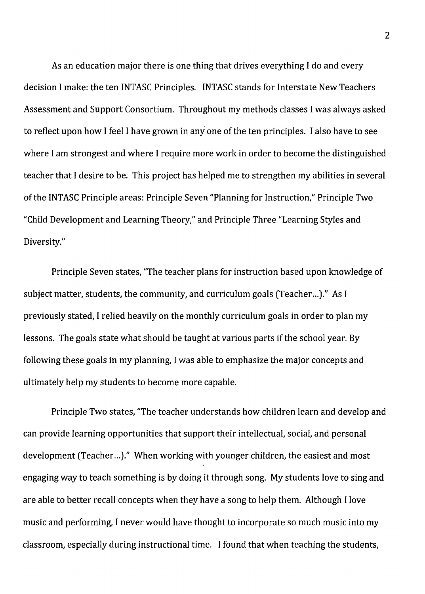As an education major there is one thing that drives everything I do and every decision I make: the ten INTASC Principles. INTASC stands for Interstate New Teachers Assessment and Support Consortium. Throughout my methods classes I was always asked to reflect upon how I feel I have grown in anyone of the ten principles. I also have to see where I am strongest and where I require more work in order to become the distinguished teacher that I desire to be. This project has helped me to strengthen my abilities in several of the INTASC Principle areas: Principle Seven "Planning for Instruction," Principle Two "Child Development and Learning Theory," and Principle Three "Learning Styles and Diversity."

Principle Seven states, "The teacher plans for instruction based upon knowledge of subject matter, students, the community, and curriculum goals (Teacher...)." As I previously stated, I relied heavily on the monthly curriculum goals in order to plan my lessons. The goals state what should be taught at various parts if the school year. By following these goals in my planning, I was able to emphasize the major concepts and ultimately help my students to become more capable.

Principle Two states, "The teacher understands how children learn and develop and can provide learning opportunities that support their intellectual, social, and personal development (Teacher...)." When working with younger children, the easiest and most engaging way to teach something is by doing it through song. My students love to sing and are able to better recall concepts when they have a song to help them. Although I love music and performing, I never would have thought to incorporate so much music into my classroom, especially during instructional time. I found that when teaching the students,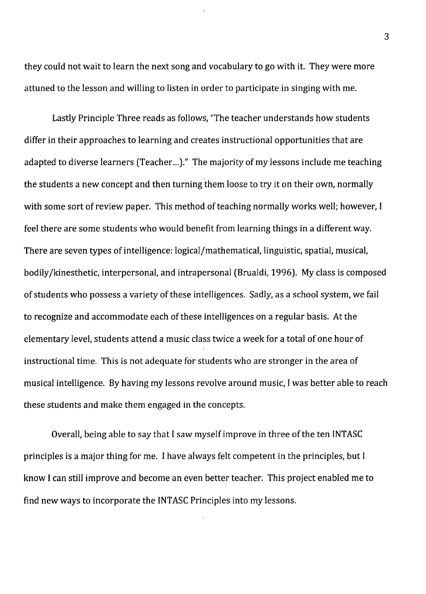they could not wait to learn the next song and vocabulary to go with it. They were more attuned to the lesson and willing to listen in order to participate in singing with me.

Lastly Principle Three reads as follows, "The teacher understands how students differ in their approaches to learning and creates instructional opportunities that are adapted to diverse learners (Teacher...)." The majority of my lessons include me teaching the students a new concept and then turning them loose to try it on their own, normally with some sort of review paper. This method of teaching normally works well; however, I feel there are some students who would benefit from learning things in a different way. There are seven types of intelligence: logical/mathematical, linguistic, spatial, musical, bodily/kinesthetic, interpersonal, and intrapersonal (Brualdi, 1996). My class is composed of students who possess a variety of these intelligences. Sadly, as a school system, we fail to recognize and accommodate each of these intelligences on a regular basis. At the elementary level, students attend a music class twice a week for a total of one hour of instructional time. This is not adequate for students who are stronger in the area of musical intelligence. By having my lessons revolve around music, I was better able to reach these students and make them engaged in the concepts.

Overall, being able to say that I saw myself improve in three of the ten INTASC principles is a major thing for me. I have always felt competent in the principles, but I know I can still improve and become an even better teacher. This project enabled me to find new ways to incorporate the INTASC Principles into my lessons.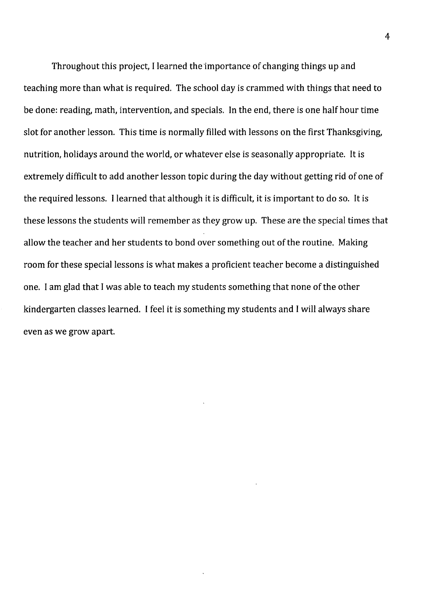Throughout this project, I learned the 'importance of changing things up and teaching more than what is required. The school day is crammed with things that need to be done: reading, math, intervention, and specials. In the end, there is one half hour time slot for another lesson. This time is normally filled with lessons on the first Thanksgiving, nutrition, holidays around the world, or whatever else is seasonally appropriate. It is extremely difficult to add another lesson topic during the day without getting rid of one of the required lessons. I learned that although it is difficult, it is important to do so. It is these lessons the students will remember as they grow up. These are the special times that allow the teacher and her students to bond over something out of the routine. Making room for these special lessons is what makes a proficient teacher become a distinguished one. I am glad that I was able to teach my students something that none of the other kindergarten classes learned. I feel it is something my students and I will always share even as we grow apart.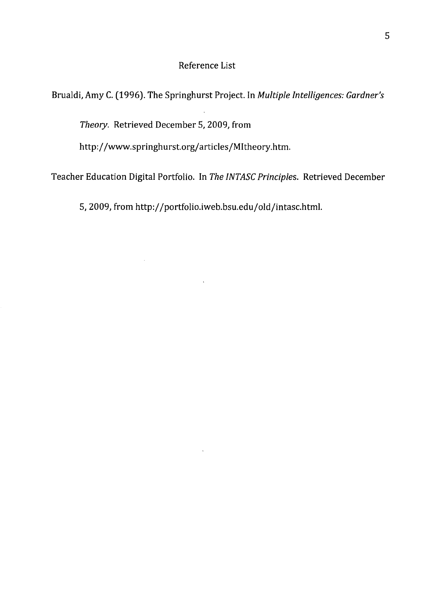### Reference List

Brualdi, Amy C. (1996). The Springhurst Project. In *Multiple Intelligences: Gardner's* 

*Theory.* Retrieved December 5, 2009, from

 $\sim$ 

http://www.springhurst.org/articles/MItheory.htm.

Teacher Education Digital Portfolio. In *The INTASC Principles.* Retrieved December

5,2009, from http://portfolio.iweb.bsu.edu/old/intasc.html.

 $\bar{\mathcal{A}}$ 

 $\bar{\mathbf{x}}$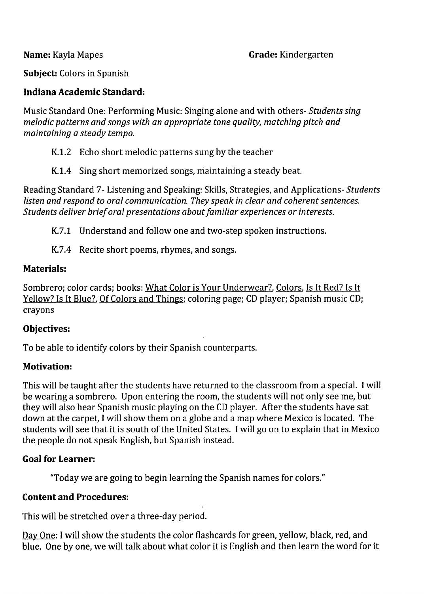**Grade:** Kindergarten

**Subject:** Colors in Spanish

### **Indiana Academic Standard:**

Music Standard One: Performing Music: Singing alone and with others- *Students sing melodic patterns and songs with an appropriate tone quality, matching pitch and maintaining* a *steady tempo.* 

- K.1.2 Echo short melodic patterns sung by the teacher
- K.1.4 Sing short memorized songs, maintaining a steady beat.

Reading Standard 7- Listening and Speaking: Skills, Strategies, and Applications- *Students listen and respond to oral communication. They speak in clear and coherent sentences. Students deliver brief oral presentations about familiar experiences* or *interests.* 

K.7.1 Understand and follow one and two-step spoken instructions.

K.7.4 Recite short poems, rhymes, and songs.

## **Materials:**

Sombrero; color cards; books: What Color is Your Underwear?, Colors, Is It Red? Is It Yellow? Is It Blue?, Of Colors and Things; coloring page; CD player; Spanish music CD; crayons

### **Objectives:**

To be able to identify colors by their Spanish counterparts.

# **Motivation:**

This will be taught after the students have returned to the classroom from a special. I will be wearing a sombrero. Upon entering the room, the students will not only see me, but they will also hear Spanish music playing on the CD player. After the students have sat down at the carpet, I will show them on a globe and a map where Mexico is located. The students will see that it is south of the United States. I will go on to explain that in Mexico the people do not speak English, but Spanish instead.

# **Goal for Learner:**

"Today we are going to begin learning the Spanish names for colors."

# **Content and Procedures:**

This will be stretched over a three-day period.

Day One: I will show the students the color flashcards for green, yellow, black, red, and blue. One by one, we will talk about what color it is English and then learn the word for it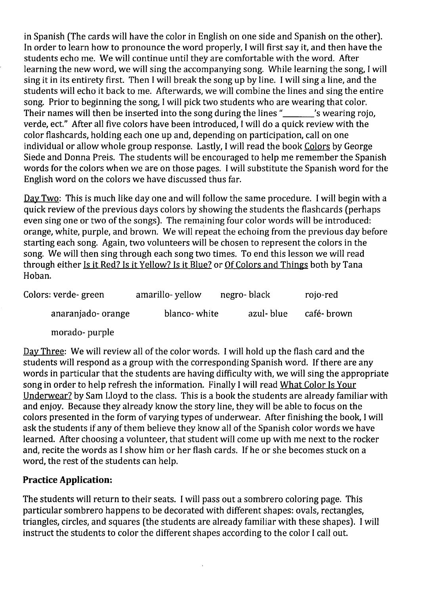in Spanish (The cards will have the color in English on one side and Spanish on the other). In order to learn how to pronounce the word properly, I will first say it, and then have the students echo me. We will continue until they are comfortable with the word. After learning the new word, we will sing the accompanying song. While learning the song, I will sing it in its entirety first. Then I will break the song up by line. I will sing a line, and the students will echo it back to me. Afterwards, we will combine the lines and sing the entire song. Prior to beginning the song, I will pick two students who are wearing that color. Their names will then be inserted into the song during the lines "Swearing rojo, verde, ect." After all five colors have been introduced, I will do a quick review with the color flashcards, holding each one up and, depending on participation, call on one individual or allow whole group response. Lastly, I will read the book Colors by George Siede and Donna Preis. The students will be encouraged to help me remember the Spanish words for the colors when we are on those pages. I will substitute the Spanish word for the English word on the colors we have discussed thus far.

Day Two: This is much like day one and will follow the same procedure. I will begin with a quick review of the previous days colors by showing the students the flashcards (perhaps even sing one or two of the songs). The remaining four color words will be introduced: orange, white, purple, and brown. We will repeat the echoing from the previous day before starting each song. Again, two volunteers will be chosen to represent the colors in the song. We will then sing through each song two times. To end this lesson we will read through either Is it Red? Is it Yellow? Is it Blue? or Of Colors and Things both by Tana Hoban.

| Colors: verde-green | amarillo-yellow | negro-black | rojo-red   |
|---------------------|-----------------|-------------|------------|
| anaranjado-orange   | blanco-white    | azul- blue  | café-brown |
|                     |                 |             |            |

morado- purple

Day Three: We will review all of the color words. I will hold up the flash card and the students will respond as a group with the corresponding Spanish word. If there are any words in particular that the students are having difficulty with, we will sing the appropriate song in order to help refresh the information. Finally I will read What Color Is Your Underwear? by Sam Lloyd to the class. This is a book the students are already familiar with and enjoy. Because they already know the story line, they will be able to focus on the colors presented in the form of varying types of underwear. After finishing the book, I will ask the students if any of them believe they know all of the Spanish color words we have learned. After choosing a volunteer, that student will come up with me next to the rocker and, recite the words as I show him or her flash cards. If he or she becomes stuck on a word, the rest of the students can help.

# **Practice Application:**

The students will return to their seats. I will pass out a sombrero coloring page. This particular sombrero happens to be decorated with different shapes: ovals, rectangles, triangles, circles, and squares (the students are already familiar with these shapes). I will instruct the students to color the different shapes according to the color I call out.

À,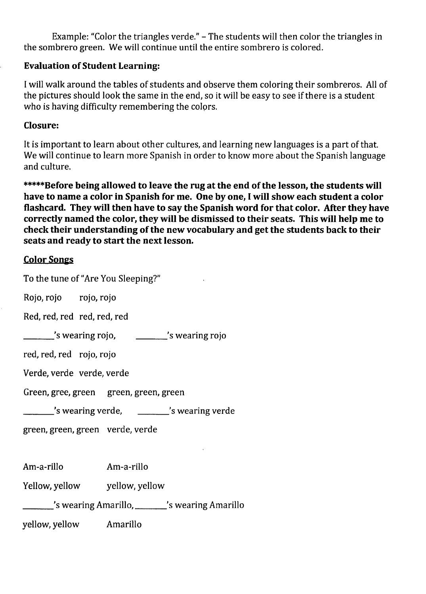Example: "Color the triangles verde." - The students will then color the triangles in the sombrero green. We will continue until the entire sombrero is colored.

## **Evaluation of Student Learning:**

I will walk around the tables of students and observe them coloring their sombreros. All of the pictures should look the same in the end, so it will be easy to see if there is a student who is having difficulty remembering the colors.

### **Closure:**

It is important to learn about other cultures, and learning new languages is a part of that. We will continue to learn more Spanish in order to know more about the Spanish language and culture.

**\*\*\*\*\*Before being allowed to leave the rug at the end of the lesson, the students will have to name a color in Spanish for me. One by one, I will show each student a color flashcard. They will then have to say the Spanish word for that color. After they have correctly named the color, they will be dismissed to their seats. This will help me to check their understanding of the new vocabulary and get the students back to their seats and ready to start the next lesson.** 

## Color Songs

| To the tune of "Are You Sleeping?"             |                |  |  |  |
|------------------------------------------------|----------------|--|--|--|
| Rojo, rojo rojo, rojo                          |                |  |  |  |
| Red, red, red red, red, red                    |                |  |  |  |
| s wearing rojo,                                | s wearing rojo |  |  |  |
| red, red, red rojo, rojo                       |                |  |  |  |
| Verde, verde verde, verde                      |                |  |  |  |
| Green, gree, green green, green, green         |                |  |  |  |
| s wearing verde, _________ 's wearing verde'   |                |  |  |  |
| green, green, green verde, verde               |                |  |  |  |
|                                                |                |  |  |  |
| Am-a-rillo                                     | Am-a-rillo     |  |  |  |
| Yellow, yellow yellow, yellow                  |                |  |  |  |
| 's wearing Amarillo, ______'s wearing Amarillo |                |  |  |  |
| yellow, yellow Amarillo                        |                |  |  |  |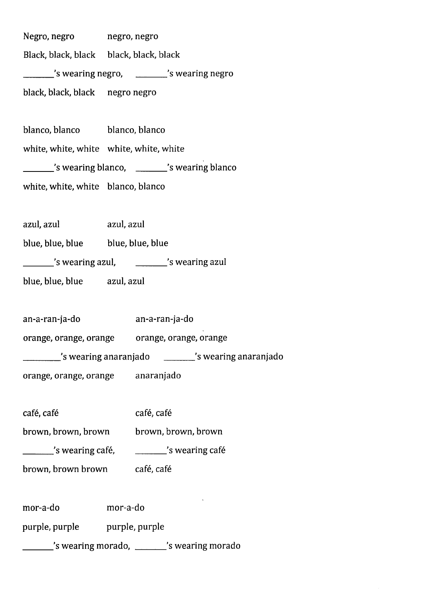Negro, negro Black, black, black black, black, black negro, negro \_\_\_ 's wearing negro, \_\_\_ 's wearing negro black, black, black negro negro

blanco, blanco blanco, blanco white, white, white white, white, white 's wearing blanco, 's wearing blanco' white, white, white blanco, blanco

azul, azul azul, azul

blue, blue, blue, blue, blue, blue

\_\_\_ 's wearing azul, \_\_\_ 's wearing azul

blue, blue, blue azul, azul

an-a-ran-ja-do an-a-ran-ja-do

orange, orange, orange orange, orange, orange

\_\_\_\_ 's wearing anaranjado 's wearing anaranjado

orange, orange, orange anaranjado

café, café café, café

brown, brown, brown brown, brown, brown

\_\_\_\_\_\_\_\_'s wearing café, \_\_\_ 's wearing cafe

brown, brown brown café, café

mor-a-do mor-a-do

purple, purple purple, purple

s wearing morado, \_\_\_\_\_\_'s wearing morado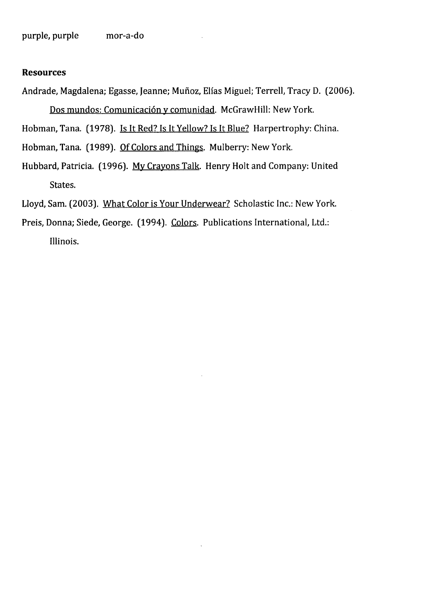#### **Resources**

Andrade, Magdalena; Egasse, Jeanne; Muñoz, Elías Miguel; Terrell, Tracy D. (2006). Dos mundos: Comunicación y comunidad. McGrawHill: New York.

Hobman, Tana. (1978). Is It Red? Is It Yellow? Is It Blue? Harpertrophy: China.

- Hobman, Tana. (1989). Of Colors and Things. Mulberry: New York.
- Hubbard, Patricia. (1996). My Crayons Talk. Henry Holt and Company: United States.
- Lloyd, Sam. (2003). What Color is Your Underwear? Scholastic Inc.: New York.
- Preis, Donna; Siede, George. (1994). Colors. Publications International, Ltd.: Illinois.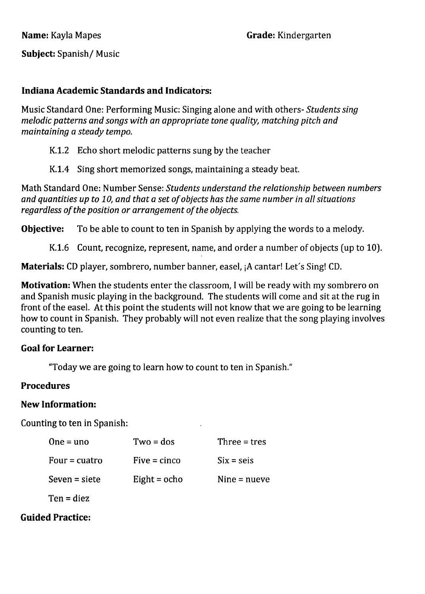**Subject:** Spanish/ Music

# **Indiana Academic Standards and Indicators:**

Music Standard One: Performing Music: Singing alone and with others- *Students sing melodic patterns and songs with an appropriate tone quality, matching pitch and maintaining* a *steady tempo.* 

# K.1.2 Echo short melodic patterns sung by the teacher

K.1.4 Sing short memorized songs, maintaining a steady beat.

Math Standard One: Number Sense: *Students understand the relationship between numbers and quantities up to 10, and that* a *set of objects has the same number in all situations regardless of the position or arrangement of the objects.* 

**Objective:** To be able to count to ten in Spanish by applying the words to a melody.

K.1.6 Count, recognize, represent, name, and order a number of objects (up to 10).

**Materials:** CD player, sombrero, number banner, easel, jA cantar! Let's Sing! CD.

**Motivation:** When the students enter the classroom, I will be ready with my sombrero on and Spanish music playing in the background. The students will come and sit at the rug in front of the easel. At this point the students will not know that we are going to be learning how to count in Spanish. They probably will not even realize that the song playing involves counting to ten.

### **Goal for Learner:**

"Today we are going to learn how to count to ten in Spanish."

# **Procedures**

### **New Information:**

Counting to ten in Spanish:

| $One = uno$             | $Two = dos$    | Three = $tres$ |
|-------------------------|----------------|----------------|
| Four $=$ cuatro         | $Five = cinco$ | $Six = seis$   |
| $S$ even = siete        | Eight = $ocho$ | Nine $=$ nueve |
| Ten = diez              |                |                |
| <b>Guided Practice:</b> |                |                |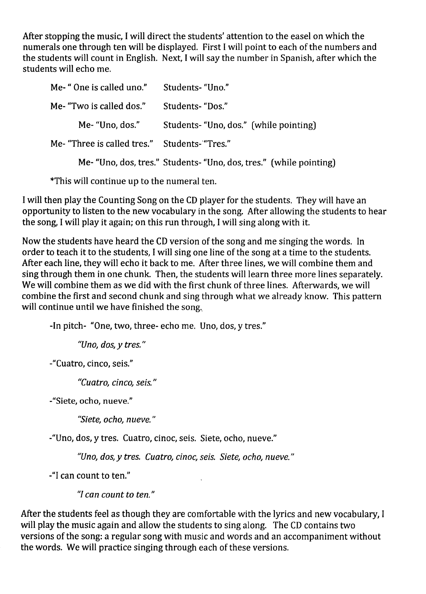After stopping the music, I will direct the students' attention to the easel on which the numerals one through ten will be displayed. First I will point to each of the numbers and the students will count in English. Next, I will say the number in Spanish, after which the students will echo me.

| Me- "One is called uno."                      | Students- "Uno."                                                   |
|-----------------------------------------------|--------------------------------------------------------------------|
| Me- "Two is called dos."                      | Students-"Dos."                                                    |
| Me- "Uno, dos."                               | Students- "Uno, dos." (while pointing)                             |
| Me- "Three is called tres." Students- "Tres." |                                                                    |
|                                               | Me- "Uno, dos, tres." Students- "Uno, dos, tres." (while pointing) |

\*This will continue up to the numeral ten.

I will then play the Counting Song on the CD player for the students. They will have an opportunity to listen to the new vocabulary in the song. After allowing the students to hear the song, I will play it again; on this run through, I will sing along with it.

Now the students have heard the CD version of the song and me singing the words. In order to teach it to the students, I will sing one line of the song at a time to the students. After each line, they will echo it back to me. After three lines, we will combine them and sing through them in one chunk. Then, the students will learn three more lines separately. We will combine them as we did with the first chunk of three lines. Afterwards, we will combine the first and second chunk and Sing through what we already know. This pattern will continue until we have finished the song.

-In pitch- "One, two, three- echo me. Uno, dos, y tres."

*"Uno, dos,* y *tres. "* 

-"Cuatro, cinco, seis."

*"Cuatro, cinco, seis."* 

-"Siete, ocho, nueve."

*"Siete, ocho, nueve."* 

-"Uno, dos, y tres. Cuatro, cinoc, seis. Siete, ocho, nueve."

*"Uno, dos, y tres. Cuatro, cinoc, seis. Siete, ocho, n ueve. "* 

-"I can count to ten."

"[ *can count to ten."* 

After the students feel as though they are comfortable with the lyrics and new vocabulary, I will play the music again and allow the students to sing along. The CD contains two versions of the song: a regular song with music and words and an accompaniment without the words. We will practice singing through each of these versions.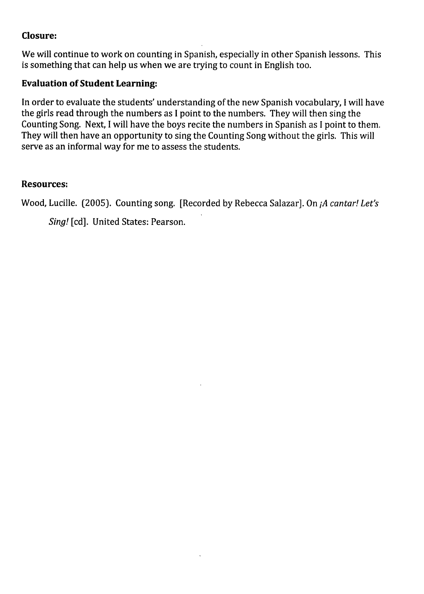# **Closure:**

We will continue to work on counting in Spanish, especially in other Spanish lessons. This is something that can help us when we are trying to count in English too.

# **Evaluation of Student Learning:**

**In** order to evaluate the students' understanding of the new Spanish vocabulary, I will have the girls read through the numbers as I point to the numbers. They will then sing the Counting Song. Next, I will have the boys recite the numbers in Spanish as I point to them. They will then have an opportunity to sing the Counting Song without the girls. This will serve as an informal way for me to assess the students.

## **Resources:**

Wood, Lucille. (2005). Counting song. [Recorded by Rebecca Salazar]. On *jA cantar! Let's* 

*Sing!* [cd]. United States: Pearson.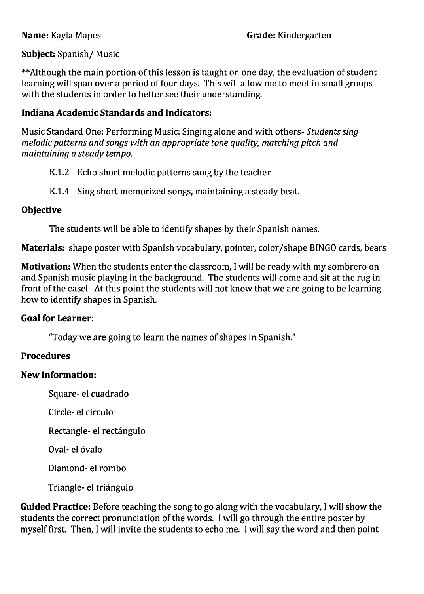# **Subject:** Spanish/ Music

\*\*Although the main portion of this lesson is taught on one day, the evaluation of student learning will span over a period of four days. This will allow me to meet in small groups with the students in order to better see their understanding.

### **Indiana Academic Standards and Indicators:**

Music Standard One: Performing Music: Singing alone and with others- *Students sing melodic patterns and songs with an appropriate tone quality, matching pitch and maintaining* a *steady tempo.* 

- K.1.2 Echo short melodic patterns sung by the teacher
- K.I.4 Sing short memorized songs, maintaining a steady beat.

### **Objective**

The students will be able to identify shapes by their Spanish names.

**Materials:** shape poster with Spanish vocabulary, pointer, color/shape BINGO cards, bears

**Motivation:** When the students enter the classroom, I will be ready with my sombrero on and Spanish music playing in the background. The students will come and sit at the rug in front of the easel. At this point the students will not know that we are going to be learning how to identify shapes in Spanish.

# **Goal for Learner:**

"Today we are going to learn the names of shapes in Spanish."

# **Procedures**

### **New Information:**

Square-el cuadrado

Circle- el cfrculo

Rectangle- el rectángulo

Oval- el óvalo

Diamond- el rombo

Triangle- el triangulo

**Guided Practice:** Before teaching the song to go along with the vocabulary, I will show the students the correct pronunciation of the words. I will go through the entire poster by myself first. Then, I will invite the students to echo me. I will say the word and then point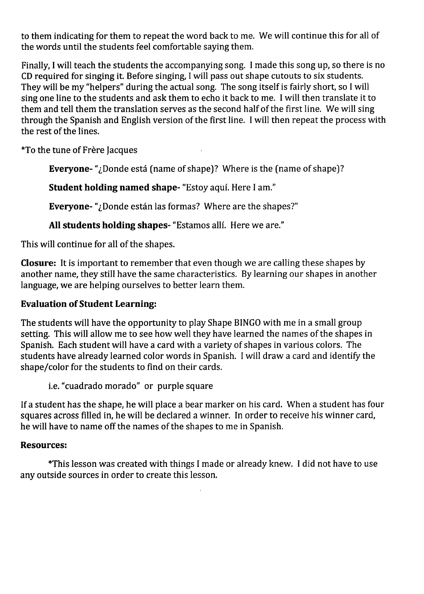to them indicating for them to repeat the word back to me. We will continue this for all of the words until the students feel comfortable saying them.

Finally, I will teach the students the accompanying song. I made this song up, so there is no CD required for singing it. Before singing, I will pass out shape cutouts to six students. They will be my "helpers" during the actual song. The song itself is fairly short, so I will sing one line to the students and ask them to echo it back to me. I will then translate it to them and tell them the translation serves as the second half of the first line. We will sing through the Spanish and English version of the first line. I will then repeat the process with the rest of the lines.

\*To the tune of Frere Jacques

Everyone-"¿Donde está (name of shape)? Where is the (name of shape)?

Student holding named shape- "Estoy aqui. Here I am."

Everyone- "¿Donde están las formas? Where are the shapes?"

All students holding shapes- "Estamos allí. Here we are."

This will continue for all of the shapes.

Closure: It is important to remember that even though we are calling these shapes by another name, they still have the same characteristics. By learning our shapes in another language, we are helping ourselves to better learn them.

# Evaluation of Student Learning:

The students will have the opportunity to play Shape BINGO with me in a small group setting. This will allow me to see how well they have learned the names of the shapes in Spanish. Each student will have a card with a variety of shapes in various colors. The students have already learned color words in Spanish. I will draw a card and identify the shape/color for the students to find on their cards.

i.e. "cuadrado morado" or purple square

If a student has the shape, he will place a bear marker on his card. When a student has four squares across filled in, he will be declared a winner. In order to receive his winner card, he will have to name off the names of the shapes to me in Spanish.

# Resources:

\*This lesson was created with things I made or already knew. I did not have to use any outside sources in order to create this lesson.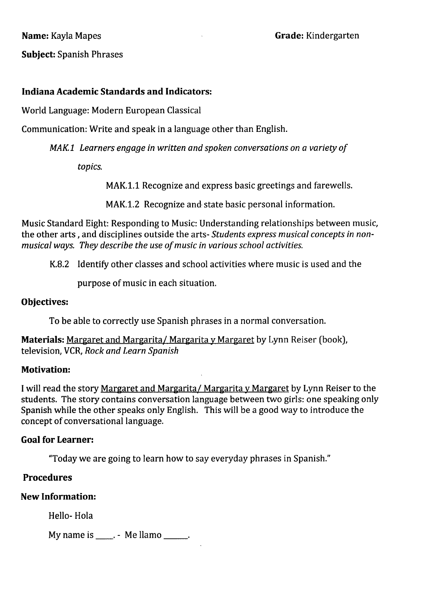**Grade:** Kindergarten

**Subject:** Spanish Phrases

### **Indiana Academic Standards and Indicators:**

World Language: Modern European Classical

Communication: Write and speak in a language other than English.

MAKl *Learners engage in written and spoken conversations on a variety of* 

*topics.* 

MAK.l.l Recognize and express basic greetings and farewells.

MAK.l.2 Recognize and· state basic personal information.

Music Standard Eight: Responding to Music: Understanding relationships between music, the other arts, and disciplines outside the arts- *Students express musical concepts in nonmusical ways. They describe the use ofmusic in various school activities.* 

K.8.2 Identify other classes and school activities where music is used and the

purpose of music in each situation.

### **Objectives:**

To be able to correctly use Spanish phrases in a normal conversation.

**Materials:** Margaret and Margarita/ Margarita y Margaret by Lynn Reiser (book), television, VCR, *Rock and Learn Spanish* 

### **Motivation:**

I will read the story Margaret and Margarita/ Margarita y Margaret by Lynn Reiser to the students. The story contains conversation language between two girls: one speaking only Spanish while the other speaks only English. This will be a good way to introduce the concept of conversational language.

### **Goal for Learner:**

"Today we are going to learn how to say everyday phrases in Spanish."

### **Procedures**

### **New Information:**

Hello- Hola

My name is  $\frac{1}{2}$  - Me llamo  $\frac{1}{2}$ .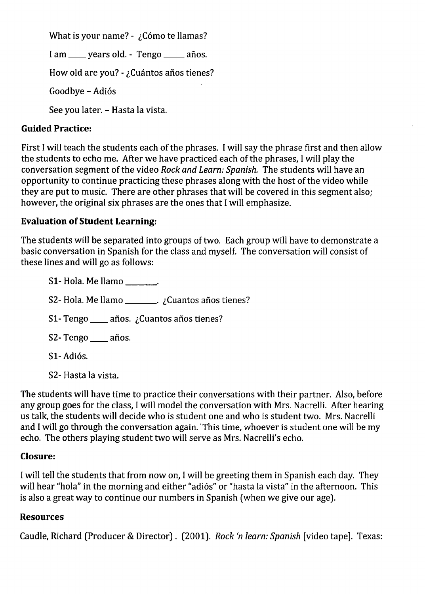What is your name? -  $\sum_{i=1}^{n}$  Cómo te llamas?

I am \_\_\_\_ years old. - Tengo \_\_\_\_ años.

How old are you? - ¿Cuántos años tienes?

Goodbye - Adiós

See you later. - Hasta la vista.

## **Guided Practice:**

First I will teach the students each of the phrases. I will say the phrase first and then allow the students to echo me. After we have practiced each of the phrases, I will play the conversation segment of the video *Rock and Learn: Spanish.* The students will have an opportunity to continue practicing these phrases along with the host of the video while they are put to music. There are other phrases that will be covered in this segment also; however, the original six phrases are the ones that I will emphasize.

## **Evaluation of Student Learning:**

The students will be separated into groups of two. Each group will have to demonstrate a basic conversation in Spanish for the class and myself. The conversation will consist of these lines and will go as follows:

S1- Hola. Me llamo \_\_\_\_\_\_. S2- Hola. Me llamo \_\_\_\_\_\_\_. ¿Cuantos años tienes? S1- Tengo  $\frac{1}{\sqrt{2}}$  años. ¿Cuantos años tienes? S2- Tengo \_\_\_ años. S1-Adiós.

S2- Hasta la vista.

The students will have time to practice their conversations with their partner. Also, before any group goes for the class, I will model the conversation with Mrs. Nacrelli. After hearing us talk, the students will decide who is student one and who is student two. Mrs. Nacrelli and I will go through the conversation again. This time, whoever is student one will be my echo. The others playing student two will serve as Mrs. Nacrelli's echo.

# **Closure:**

I will tell the students that from now on, I will be greeting them in Spanish each day. They will hear "hola" in the morning and either "adiós" or "hasta la vista" in the afternoon. This is also a great way to continue our numbers in Spanish (when we give our age).

# **Resources**

Caudle, Richard (Producer & Director). (2001). *Rock In learn: Spanish* [video tape]. Texas: